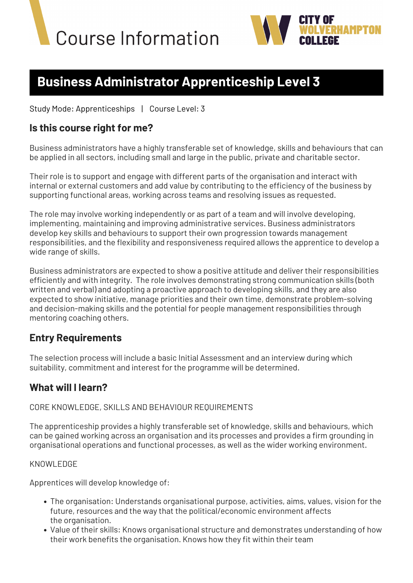



# **Business Administrator Apprenticeship Level 3**

Study Mode: Apprenticeships | Course Level: 3

## **Is this course right for me?**

Business administrators have a highly transferable set of knowledge, skills and behaviours that can be applied in all sectors, including small and large in the public, private and charitable sector.

Their role is to support and engage with different parts of the organisation and interact with internal or external customers and add value by contributing to the efficiency of the business by supporting functional areas, working across teams and resolving issues as requested.

The role may involve working independently or as part of a team and will involve developing, implementing, maintaining and improving administrative services. Business administrators develop key skills and behaviours to support their own progression towards management responsibilities, and the flexibility and responsiveness required allows the apprentice to develop a wide range of skills.

Business administrators are expected to show a positive attitude and deliver their responsibilities efficiently and with integrity. The role involves demonstrating strong communication skills (both written and verbal) and adopting a proactive approach to developing skills, and they are also expected to show initiative, manage priorities and their own time, demonstrate problem-solving and decision-making skills and the potential for people management responsibilities through mentoring coaching others.

## **Entry Requirements**

The selection process will include a basic Initial Assessment and an interview during which suitability, commitment and interest for the programme will be determined.

## **What will I learn?**

CORE KNOWLEDGE, SKILLS AND BEHAVIOUR REQUIREMENTS

The apprenticeship provides a highly transferable set of knowledge, skills and behaviours, which can be gained working across an organisation and its processes and provides a firm grounding in organisational operations and functional processes, as well as the wider working environment.

#### KNOWLEDGE

Apprentices will develop knowledge of:

- The organisation: Understands organisational purpose, activities, aims, values, vision for the future, resources and the way that the political/economic environment affects the organisation.
- Value of their skills: Knows organisational structure and demonstrates understanding of how their work benefits the organisation. Knows how they fit within their team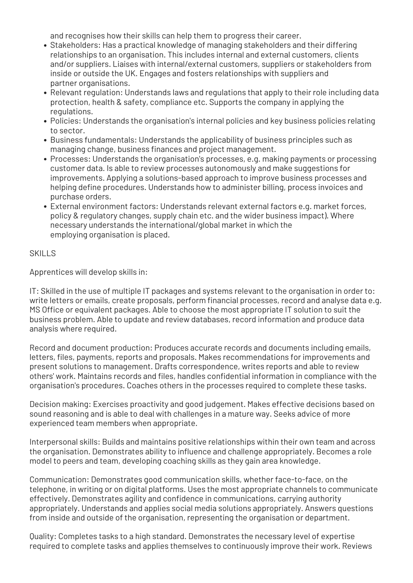and recognises how their skills can help them to progress their career.

- Stakeholders: Has a practical knowledge of managing stakeholders and their differing relationships to an organisation. This includes internal and external customers, clients and/or suppliers. Liaises with internal/external customers, suppliers or stakeholders from inside or outside the UK. Engages and fosters relationships with suppliers and partner organisations.
- Relevant regulation: Understands laws and regulations that apply to their role including data protection, health & safety, compliance etc. Supports the company in applying the regulations.
- Policies: Understands the organisation's internal policies and key business policies relating to sector.
- Business fundamentals: Understands the applicability of business principles such as managing change, business finances and project management.
- Processes: Understands the organisation's processes, e.g. making payments or processing customer data. Is able to review processes autonomously and make suggestions for improvements. Applying a solutions-based approach to improve business processes and helping define procedures. Understands how to administer billing, process invoices and purchase orders.
- External environment factors: Understands relevant external factors e.g. market forces, policy & regulatory changes, supply chain etc. and the wider business impact). Where necessary understands the international/global market in which the employing organisation is placed.

### SKILLS

Apprentices will develop skills in:

IT: Skilled in the use of multiple IT packages and systems relevant to the organisation in order to: write letters or emails, create proposals, perform financial processes, record and analyse data e.g. MS Office or equivalent packages. Able to choose the most appropriate IT solution to suit the business problem. Able to update and review databases, record information and produce data analysis where required.

Record and document production: Produces accurate records and documents including emails, letters, files, payments, reports and proposals. Makes recommendations for improvements and present solutions to management. Drafts correspondence, writes reports and able to review others' work. Maintains records and files, handles confidential information in compliance with the organisation's procedures. Coaches others in the processes required to complete these tasks.

Decision making: Exercises proactivity and good judgement. Makes effective decisions based on sound reasoning and is able to deal with challenges in a mature way. Seeks advice of more experienced team members when appropriate.

Interpersonal skills: Builds and maintains positive relationships within their own team and across the organisation. Demonstrates ability to influence and challenge appropriately. Becomes a role model to peers and team, developing coaching skills as they gain area knowledge.

Communication: Demonstrates good communication skills, whether face-to-face, on the telephone, in writing or on digital platforms. Uses the most appropriate channels to communicate effectively. Demonstrates agility and confidence in communications, carrying authority appropriately. Understands and applies social media solutions appropriately. Answers questions from inside and outside of the organisation, representing the organisation or department.

Quality: Completes tasks to a high standard. Demonstrates the necessary level of expertise required to complete tasks and applies themselves to continuously improve their work. Reviews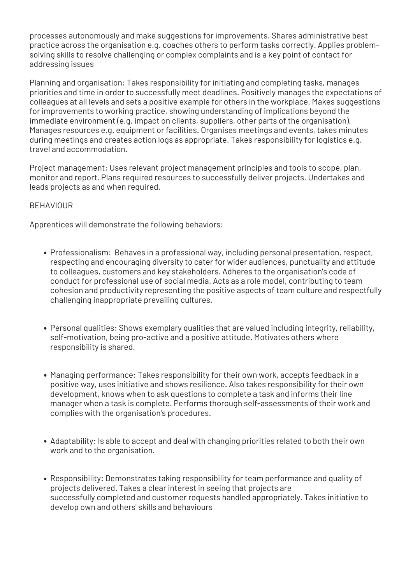processes autonomously and make suggestions for improvements. Shares administrative best practice across the organisation e.g. coaches others to perform tasks correctly. Applies problemsolving skills to resolve challenging or complex complaints and is a key point of contact for addressing issues

Planning and organisation: Takes responsibility for initiating and completing tasks, manages priorities and time in order to successfully meet deadlines. Positively manages the expectations of colleagues at all levels and sets a positive example for others in the workplace. Makes suggestions for improvements to working practice, showing understanding of implications beyond the immediate environment (e.g. impact on clients, suppliers, other parts of the organisation). Manages resources e.g. equipment or facilities. Organises meetings and events, takes minutes during meetings and creates action logs as appropriate. Takes responsibility for logistics e.g. travel and accommodation.

Project management: Uses relevant project management principles and tools to scope, plan, monitor and report. Plans required resources to successfully deliver projects. Undertakes and leads projects as and when required.

### BEHAVIOUR

Apprentices will demonstrate the following behaviors:

- Professionalism: Behaves in a professional way, including personal presentation, respect, respecting and encouraging diversity to cater for wider audiences, punctuality and attitude to colleagues, customers and key stakeholders. Adheres to the organisation's code of conduct for professional use of social media. Acts as a role model, contributing to team cohesion and productivity representing the positive aspects of team culture and respectfully challenging inappropriate prevailing cultures.
- Personal qualities: Shows exemplary qualities that are valued including integrity, reliability, self-motivation, being pro-active and a positive attitude. Motivates others where responsibility is shared.
- Managing performance: Takes responsibility for their own work, accepts feedback in a positive way, uses initiative and shows resilience. Also takes responsibility for their own development, knows when to ask questions to complete a task and informs their line manager when a task is complete. Performs thorough self-assessments of their work and complies with the organisation's procedures.
- Adaptability: Is able to accept and deal with changing priorities related to both their own work and to the organisation.
- Responsibility: Demonstrates taking responsibility for team performance and quality of projects delivered. Takes a clear interest in seeing that projects are successfully completed and customer requests handled appropriately. Takes initiative to develop own and others' skills and behaviours